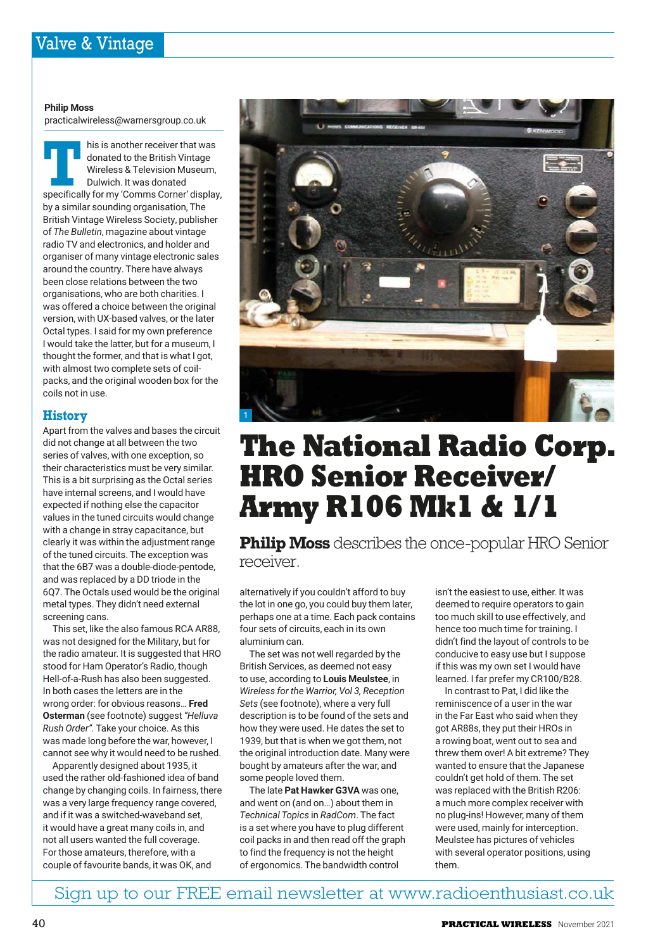#### **Philip Moss**

practicalwireless@warnersgroup.co.uk

**TE THE IS IS another receiver that was<br>
donated to the British Vintage<br>
Wireless & Television Museum,<br>
Dulwich. It was donated<br>
specifically for my 'Comms Corner' display,** his is another receiver that was donated to the British Vintage Wireless & Television Museum, Dulwich. It was donated by a similar sounding organisation, The British Vintage Wireless Society, publisher of *The Bulletin*, magazine about vintage radio TV and electronics, and holder and organiser of many vintage electronic sales around the country. There have always been close relations between the two organisations, who are both charities. I was offered a choice between the original version, with UX-based valves, or the later Octal types. I said for my own preference I would take the latter, but for a museum, I thought the former, and that is what I got, with almost two complete sets of coilpacks, and the original wooden box for the coils not in use.

## **History**

Apart from the valves and bases the circuit did not change at all between the two series of valves, with one exception, so their characteristics must be very similar. This is a bit surprising as the Octal series have internal screens, and I would have expected if nothing else the capacitor values in the tuned circuits would change with a change in stray capacitance, but clearly it was within the adjustment range of the tuned circuits. The exception was that the 6B7 was a double-diode-pentode, and was replaced by a DD triode in the 6Q7. The Octals used would be the original metal types. They didn't need external screening cans.

This set, like the also famous RCA AR88, was not designed for the Military, but for the radio amateur. It is suggested that HRO stood for Ham Operator's Radio, though Hell-of-a-Rush has also been suggested. In both cases the letters are in the wrong order: for obvious reasons… **Fred Osterman** (see footnote) suggest *"Helluva Rush Order".* Take your choice. As this was made long before the war, however, I cannot see why it would need to be rushed.

Apparently designed about 1935, it used the rather old-fashioned idea of band change by changing coils. In fairness, there was a very large frequency range covered, and if it was a switched-waveband set, it would have a great many coils in, and not all users wanted the full coverage. For those amateurs, therefore, with a couple of favourite bands, it was OK, and



# **The National Radio Corp. HRO Senior Receiver/ Army R106 Mk1 & 1/1**

**Philip Moss** describes the once-popular HRO Senior receiver.

alternatively if you couldn't afford to buy the lot in one go, you could buy them later, perhaps one at a time. Each pack contains four sets of circuits, each in its own aluminium can.

The set was not well regarded by the British Services, as deemed not easy to use, according to **Louis Meulstee**, in *Wireless for the Warrior, Vol 3, Reception Sets* (see footnote), where a very full description is to be found of the sets and how they were used. He dates the set to 1939, but that is when we got them, not the original introduction date. Many were bought by amateurs after the war, and some people loved them.

The late **Pat Hawker G3VA** was one, and went on (and on…) about them in *Technical Topics* in *RadCom*. The fact is a set where you have to plug different coil packs in and then read off the graph to find the frequency is not the height of ergonomics. The bandwidth control

isn't the easiest to use, either. It was deemed to require operators to gain too much skill to use effectively, and hence too much time for training. I didn't find the layout of controls to be conducive to easy use but I suppose if this was my own set I would have learned. I far prefer my CR100/B28.

In contrast to Pat, I did like the reminiscence of a user in the war in the Far East who said when they got AR88s, they put their HROs in a rowing boat, went out to sea and threw them over! A bit extreme? They wanted to ensure that the Japanese couldn't get hold of them. The set was replaced with the British R206: a much more complex receiver with no plug-ins! However, many of them were used, mainly for interception. Meulstee has pictures of vehicles with several operator positions, using them.

Sign up to our FREE email newsletter at www.radioenthusiast.co.uk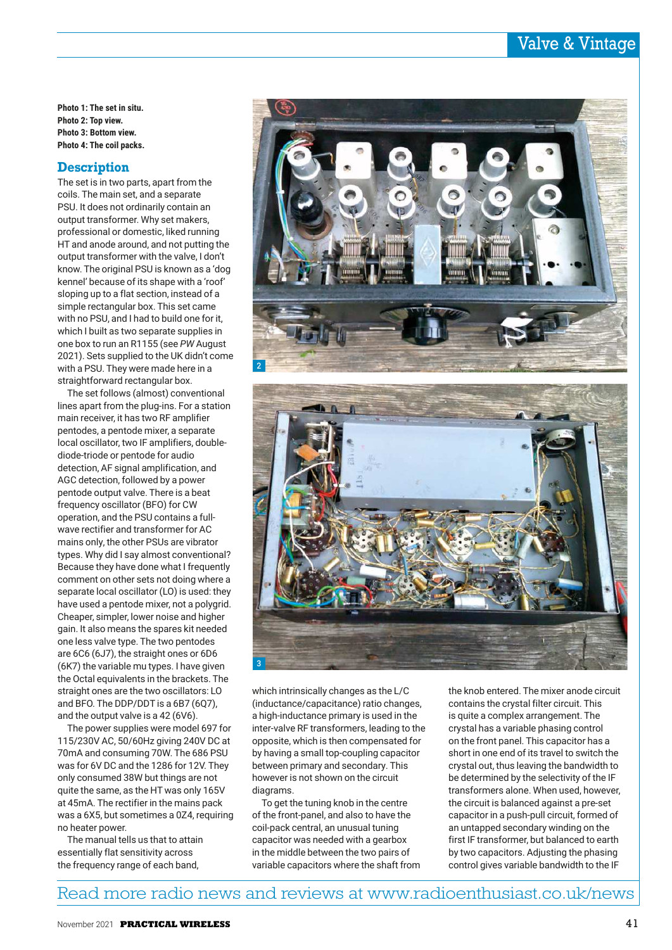# Valve & Vintage

**Photo 1: The set in situ. Photo 2: Top view. Photo 3: Bottom view. Photo 4: The coil packs.**

## **Description**

The set is in two parts, apart from the coils. The main set, and a separate PSU. It does not ordinarily contain an output transformer. Why set makers, professional or domestic, liked running HT and anode around, and not putting the output transformer with the valve, I don't know. The original PSU is known as a 'dog kennel' because of its shape with a 'roof' sloping up to a flat section, instead of a simple rectangular box. This set came with no PSU, and I had to build one for it, which I built as two separate supplies in one box to run an R1155 (see *PW* August 2021). Sets supplied to the UK didn't come with a PSU. They were made here in a straightforward rectangular box.

The set follows (almost) conventional lines apart from the plug-ins. For a station main receiver, it has two RF amplifier pentodes, a pentode mixer, a separate local oscillator, two IF amplifiers, doublediode-triode or pentode for audio detection, AF signal amplification, and AGC detection, followed by a power pentode output valve. There is a beat frequency oscillator (BFO) for CW operation, and the PSU contains a fullwave rectifier and transformer for AC mains only, the other PSUs are vibrator types. Why did I say almost conventional? Because they have done what I frequently comment on other sets not doing where a separate local oscillator (LO) is used: they have used a pentode mixer, not a polygrid. Cheaper, simpler, lower noise and higher gain. It also means the spares kit needed one less valve type. The two pentodes are 6C6 (6J7), the straight ones or 6D6 (6K7) the variable mu types. I have given the Octal equivalents in the brackets. The straight ones are the two oscillators: LO and BFO. The DDP/DDT is a 6B7 (6Q7), and the output valve is a 42 (6V6).

The power supplies were model 697 for 115/230V AC, 50/60Hz giving 240V DC at 70mA and consuming 70W. The 686 PSU was for 6V DC and the 1286 for 12V. They only consumed 38W but things are not quite the same, as the HT was only 165V at 45mA. The rectifier in the mains pack was a 6X5, but sometimes a 0Z4, requiring no heater power.

The manual tells us that to attain essentially flat sensitivity across the frequency range of each band,



which intrinsically changes as the L/C (inductance/capacitance) ratio changes, a high-inductance primary is used in the inter-valve RF transformers, leading to the opposite, which is then compensated for by having a small top-coupling capacitor between primary and secondary. This however is not shown on the circuit diagrams.

3

To get the tuning knob in the centre of the front-panel, and also to have the coil-pack central, an unusual tuning capacitor was needed with a gearbox in the middle between the two pairs of variable capacitors where the shaft from the knob entered. The mixer anode circuit contains the crystal filter circuit. This is quite a complex arrangement. The crystal has a variable phasing control on the front panel. This capacitor has a short in one end of its travel to switch the crystal out, thus leaving the bandwidth to be determined by the selectivity of the IF transformers alone. When used, however, the circuit is balanced against a pre-set capacitor in a push-pull circuit, formed of an untapped secondary winding on the first IF transformer, but balanced to earth by two capacitors. Adjusting the phasing control gives variable bandwidth to the IF

# Read more radio news and reviews at www.radioenthusiast.co.uk/news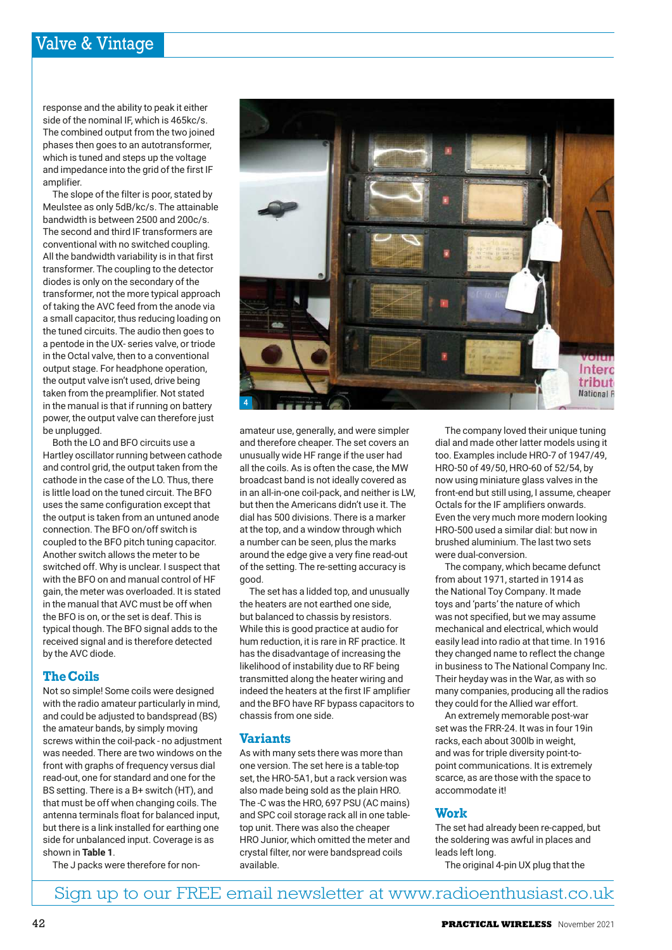# Valve & Vintage

response and the ability to peak it either side of the nominal IF, which is 465kc/s. The combined output from the two joined phases then goes to an autotransformer, which is tuned and steps up the voltage and impedance into the grid of the first IF amplifier.

The slope of the filter is poor, stated by Meulstee as only 5dB/kc/s. The attainable bandwidth is between 2500 and 200c/s. The second and third IF transformers are conventional with no switched coupling. All the bandwidth variability is in that first transformer. The coupling to the detector diodes is only on the secondary of the transformer, not the more typical approach of taking the AVC feed from the anode via a small capacitor, thus reducing loading on the tuned circuits. The audio then goes to a pentode in the UX- series valve, or triode in the Octal valve, then to a conventional output stage. For headphone operation, the output valve isn't used, drive being taken from the preamplifier. Not stated in the manual is that if running on battery power, the output valve can therefore just be unplugged.

Both the LO and BFO circuits use a Hartley oscillator running between cathode and control grid, the output taken from the cathode in the case of the LO. Thus, there is little load on the tuned circuit. The BFO uses the same configuration except that the output is taken from an untuned anode connection. The BFO on/off switch is coupled to the BFO pitch tuning capacitor. Another switch allows the meter to be switched off. Why is unclear. I suspect that with the BFO on and manual control of HF gain, the meter was overloaded. It is stated in the manual that AVC must be off when the BFO is on, or the set is deaf. This is typical though. The BFO signal adds to the received signal and is therefore detected by the AVC diode.

## **The Coils**

Not so simple! Some coils were designed with the radio amateur particularly in mind, and could be adjusted to bandspread (BS) the amateur bands, by simply moving screws within the coil-pack - no adjustment was needed. There are two windows on the front with graphs of frequency versus dial read-out, one for standard and one for the BS setting. There is a B+ switch (HT), and that must be off when changing coils. The antenna terminals float for balanced input, but there is a link installed for earthing one side for unbalanced input. Coverage is as shown in **Table 1**.

The J packs were therefore for non-



amateur use, generally, and were simpler and therefore cheaper. The set covers an unusually wide HF range if the user had all the coils. As is often the case, the MW broadcast band is not ideally covered as in an all-in-one coil-pack, and neither is LW, but then the Americans didn't use it. The dial has 500 divisions. There is a marker at the top, and a window through which a number can be seen, plus the marks around the edge give a very fine read-out of the setting. The re-setting accuracy is good.

The set has a lidded top, and unusually the heaters are not earthed one side, but balanced to chassis by resistors. While this is good practice at audio for hum reduction, it is rare in RF practice. It has the disadvantage of increasing the likelihood of instability due to RF being transmitted along the heater wiring and indeed the heaters at the first IF amplifier and the BFO have RF bypass capacitors to chassis from one side.

#### **Variants**

As with many sets there was more than one version. The set here is a table-top set, the HRO-5A1, but a rack version was also made being sold as the plain HRO. The -C was the HRO, 697 PSU (AC mains) and SPC coil storage rack all in one tabletop unit. There was also the cheaper HRO Junior, which omitted the meter and crystal filter, nor were bandspread coils available.

The company loved their unique tuning dial and made other latter models using it too. Examples include HRO-7 of 1947/49, HRO-50 of 49/50, HRO-60 of 52/54, by now using miniature glass valves in the front-end but still using, I assume, cheaper Octals for the IF amplifiers onwards. Even the very much more modern looking HRO-500 used a similar dial: but now in brushed aluminium. The last two sets were dual-conversion.

The company, which became defunct from about 1971, started in 1914 as the National Toy Company. It made toys and 'parts' the nature of which was not specified, but we may assume mechanical and electrical, which would easily lead into radio at that time. In 1916 they changed name to reflect the change in business to The National Company Inc. Their heyday was in the War, as with so many companies, producing all the radios they could for the Allied war effort.

An extremely memorable post-war set was the FRR-24. It was in four 19in racks, each about 300lb in weight, and was for triple diversity point-topoint communications. It is extremely scarce, as are those with the space to accommodate it!

#### **Work**

The set had already been re-capped, but the soldering was awful in places and leads left long.

The original 4-pin UX plug that the

Sign up to our FREE email newsletter at www.radioenthusiast.co.uk